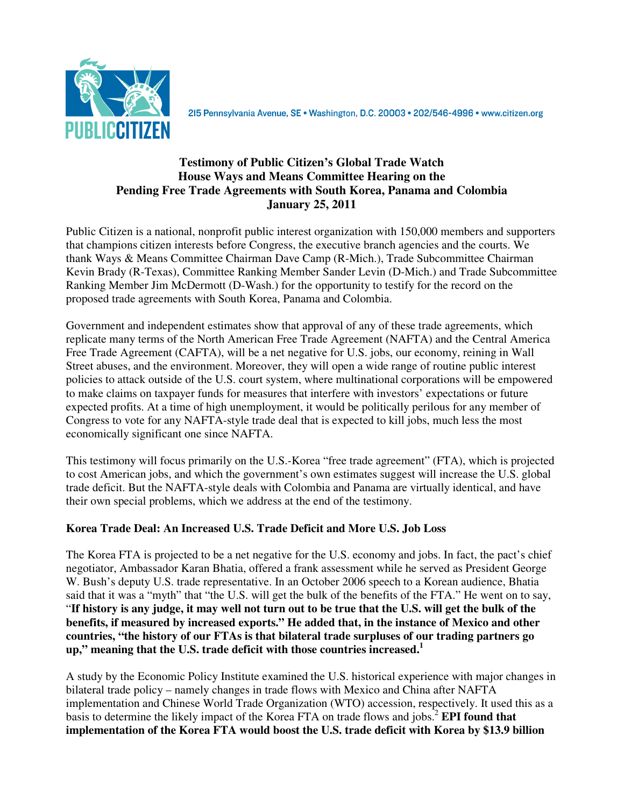

215 Pennsylvania Avenue, SE · Washington, D.C. 20003 · 202/546-4996 · www.citizen.org

# **Testimony of Public Citizen's Global Trade Watch House Ways and Means Committee Hearing on the Pending Free Trade Agreements with South Korea, Panama and Colombia January 25, 2011**

Public Citizen is a national, nonprofit public interest organization with 150,000 members and supporters that champions citizen interests before Congress, the executive branch agencies and the courts. We thank Ways & Means Committee Chairman Dave Camp (R-Mich.), Trade Subcommittee Chairman Kevin Brady (R-Texas), Committee Ranking Member Sander Levin (D-Mich.) and Trade Subcommittee Ranking Member Jim McDermott (D-Wash.) for the opportunity to testify for the record on the proposed trade agreements with South Korea, Panama and Colombia.

Government and independent estimates show that approval of any of these trade agreements, which replicate many terms of the North American Free Trade Agreement (NAFTA) and the Central America Free Trade Agreement (CAFTA), will be a net negative for U.S. jobs, our economy, reining in Wall Street abuses, and the environment. Moreover, they will open a wide range of routine public interest policies to attack outside of the U.S. court system, where multinational corporations will be empowered to make claims on taxpayer funds for measures that interfere with investors' expectations or future expected profits. At a time of high unemployment, it would be politically perilous for any member of Congress to vote for any NAFTA-style trade deal that is expected to kill jobs, much less the most economically significant one since NAFTA.

This testimony will focus primarily on the U.S.-Korea "free trade agreement" (FTA), which is projected to cost American jobs, and which the government's own estimates suggest will increase the U.S. global trade deficit. But the NAFTA-style deals with Colombia and Panama are virtually identical, and have their own special problems, which we address at the end of the testimony.

# **Korea Trade Deal: An Increased U.S. Trade Deficit and More U.S. Job Loss**

The Korea FTA is projected to be a net negative for the U.S. economy and jobs. In fact, the pact's chief negotiator, Ambassador Karan Bhatia, offered a frank assessment while he served as President George W. Bush's deputy U.S. trade representative. In an October 2006 speech to a Korean audience, Bhatia said that it was a "myth" that "the U.S. will get the bulk of the benefits of the FTA." He went on to say, "**If history is any judge, it may well not turn out to be true that the U.S. will get the bulk of the benefits, if measured by increased exports." He added that, in the instance of Mexico and other countries, "the history of our FTAs is that bilateral trade surpluses of our trading partners go up," meaning that the U.S. trade deficit with those countries increased.<sup>1</sup>**

A study by the Economic Policy Institute examined the U.S. historical experience with major changes in bilateral trade policy – namely changes in trade flows with Mexico and China after NAFTA implementation and Chinese World Trade Organization (WTO) accession, respectively. It used this as a basis to determine the likely impact of the Korea FTA on trade flows and jobs.<sup>2</sup> **EPI found that implementation of the Korea FTA would boost the U.S. trade deficit with Korea by \$13.9 billion**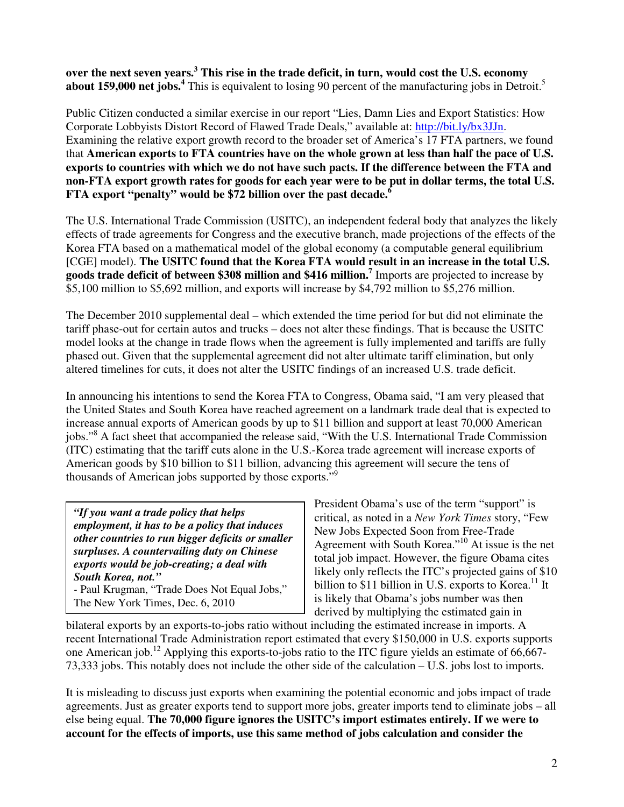**over the next seven years.<sup>3</sup> This rise in the trade deficit, in turn, would cost the U.S. economy about 159,000 net jobs.<sup>4</sup>** This is equivalent to losing 90 percent of the manufacturing jobs in Detroit.<sup>5</sup>

Public Citizen conducted a similar exercise in our report "Lies, Damn Lies and Export Statistics: How Corporate Lobbyists Distort Record of Flawed Trade Deals," available at: http://bit.ly/bx3JJn. Examining the relative export growth record to the broader set of America's 17 FTA partners, we found that **American exports to FTA countries have on the whole grown at less than half the pace of U.S. exports to countries with which we do not have such pacts. If the difference between the FTA and non-FTA export growth rates for goods for each year were to be put in dollar terms, the total U.S. FTA export "penalty" would be \$72 billion over the past decade.<sup>6</sup>** 

The U.S. International Trade Commission (USITC), an independent federal body that analyzes the likely effects of trade agreements for Congress and the executive branch, made projections of the effects of the Korea FTA based on a mathematical model of the global economy (a computable general equilibrium [CGE] model). **The USITC found that the Korea FTA would result in an increase in the total U.S. goods trade deficit of between \$308 million and \$416 million.<sup>7</sup>** Imports are projected to increase by \$5,100 million to \$5,692 million, and exports will increase by \$4,792 million to \$5,276 million.

The December 2010 supplemental deal – which extended the time period for but did not eliminate the tariff phase-out for certain autos and trucks – does not alter these findings. That is because the USITC model looks at the change in trade flows when the agreement is fully implemented and tariffs are fully phased out. Given that the supplemental agreement did not alter ultimate tariff elimination, but only altered timelines for cuts, it does not alter the USITC findings of an increased U.S. trade deficit.

In announcing his intentions to send the Korea FTA to Congress, Obama said, "I am very pleased that the United States and South Korea have reached agreement on a landmark trade deal that is expected to increase annual exports of American goods by up to \$11 billion and support at least 70,000 American jobs."<sup>8</sup> A fact sheet that accompanied the release said, "With the U.S. International Trade Commission (ITC) estimating that the tariff cuts alone in the U.S.-Korea trade agreement will increase exports of American goods by \$10 billion to \$11 billion, advancing this agreement will secure the tens of thousands of American jobs supported by those exports."<sup>9</sup>

*"If you want a trade policy that helps employment, it has to be a policy that induces other countries to run bigger deficits or smaller surpluses. A countervailing duty on Chinese exports would be job-creating; a deal with South Korea, not."* 

*-* Paul Krugman, "Trade Does Not Equal Jobs," The New York Times, Dec. 6, 2010

President Obama's use of the term "support" is critical, as noted in a *New York Times* story, "Few New Jobs Expected Soon from Free-Trade Agreement with South Korea."<sup>10</sup> At issue is the net total job impact. However, the figure Obama cites likely only reflects the ITC's projected gains of \$10 billion to \$11 billion in U.S. exports to Korea.<sup>11</sup> It is likely that Obama's jobs number was then derived by multiplying the estimated gain in

bilateral exports by an exports-to-jobs ratio without including the estimated increase in imports. A recent International Trade Administration report estimated that every \$150,000 in U.S. exports supports one American job.<sup>12</sup> Applying this exports-to-jobs ratio to the ITC figure yields an estimate of 66,667- 73,333 jobs. This notably does not include the other side of the calculation – U.S. jobs lost to imports.

It is misleading to discuss just exports when examining the potential economic and jobs impact of trade agreements. Just as greater exports tend to support more jobs, greater imports tend to eliminate jobs – all else being equal. **The 70,000 figure ignores the USITC's import estimates entirely. If we were to account for the effects of imports, use this same method of jobs calculation and consider the**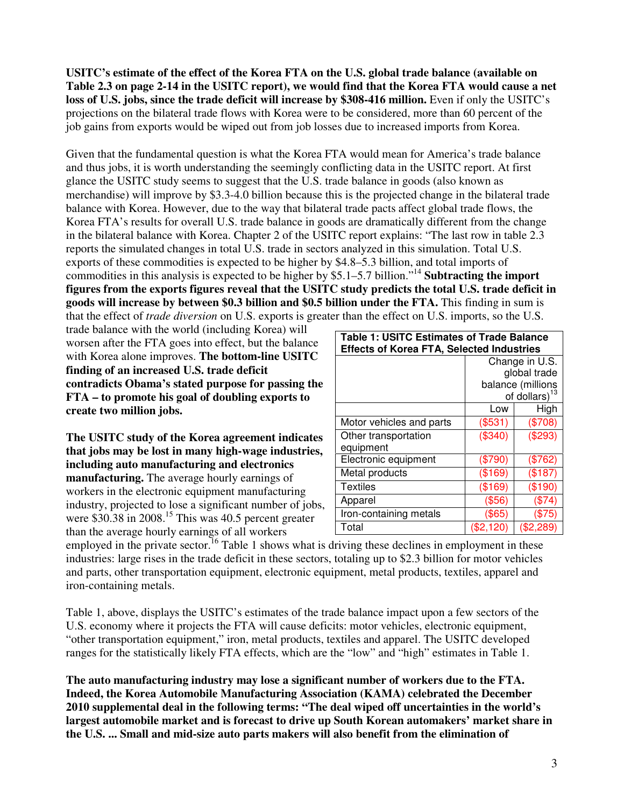**USITC's estimate of the effect of the Korea FTA on the U.S. global trade balance (available on Table 2.3 on page 2-14 in the USITC report), we would find that the Korea FTA would cause a net loss of U.S. jobs, since the trade deficit will increase by \$308-416 million.** Even if only the USITC's projections on the bilateral trade flows with Korea were to be considered, more than 60 percent of the job gains from exports would be wiped out from job losses due to increased imports from Korea.

Given that the fundamental question is what the Korea FTA would mean for America's trade balance and thus jobs, it is worth understanding the seemingly conflicting data in the USITC report. At first glance the USITC study seems to suggest that the U.S. trade balance in goods (also known as merchandise) will improve by \$3.3-4.0 billion because this is the projected change in the bilateral trade balance with Korea. However, due to the way that bilateral trade pacts affect global trade flows, the Korea FTA's results for overall U.S. trade balance in goods are dramatically different from the change in the bilateral balance with Korea. Chapter 2 of the USITC report explains: "The last row in table 2.3 reports the simulated changes in total U.S. trade in sectors analyzed in this simulation. Total U.S. exports of these commodities is expected to be higher by \$4.8–5.3 billion, and total imports of commodities in this analysis is expected to be higher by \$5.1–5.7 billion."<sup>14</sup> **Subtracting the import figures from the exports figures reveal that the USITC study predicts the total U.S. trade deficit in goods will increase by between \$0.3 billion and \$0.5 billion under the FTA.** This finding in sum is that the effect of *trade diversion* on U.S. exports is greater than the effect on U.S. imports, so the U.S.

trade balance with the world (including Korea) will worsen after the FTA goes into effect, but the balance with Korea alone improves. **The bottom-line USITC finding of an increased U.S. trade deficit contradicts Obama's stated purpose for passing the FTA – to promote his goal of doubling exports to create two million jobs.** 

**The USITC study of the Korea agreement indicates that jobs may be lost in many high-wage industries, including auto manufacturing and electronics manufacturing.** The average hourly earnings of workers in the electronic equipment manufacturing industry, projected to lose a significant number of jobs, were  $$30.38$  in 2008.<sup>15</sup> This was 40.5 percent greater than the average hourly earnings of all workers

| <b>Table 1: USITC Estimates of Trade Balance</b><br><b>Effects of Korea FTA, Selected Industries</b> |                                                     |             |
|------------------------------------------------------------------------------------------------------|-----------------------------------------------------|-------------|
|                                                                                                      | Change in U.S.<br>global trade<br>balance (millions |             |
|                                                                                                      |                                                     | of dollars) |
|                                                                                                      | Low                                                 | High        |
| Motor vehicles and parts                                                                             | (\$531)                                             | (\$708)     |
| Other transportation<br>equipment                                                                    | (\$340)                                             | $(\$293)$   |
| Electronic equipment                                                                                 | (\$790)                                             | (\$762)     |
| Metal products                                                                                       | (\$169)                                             | (\$187)     |
| <b>Textiles</b>                                                                                      | (\$169)                                             | (\$190      |
| Apparel                                                                                              | $($ \$56)                                           | (\$74       |
| Iron-containing metals                                                                               | $($ \$65)                                           | (\$75       |
| Total                                                                                                | (\$2,120                                            | (\$2,289    |

employed in the private sector.<sup>16</sup> Table 1 shows what is driving these declines in employment in these industries: large rises in the trade deficit in these sectors, totaling up to \$2.3 billion for motor vehicles and parts, other transportation equipment, electronic equipment, metal products, textiles, apparel and iron-containing metals.

Table 1, above, displays the USITC's estimates of the trade balance impact upon a few sectors of the U.S. economy where it projects the FTA will cause deficits: motor vehicles, electronic equipment, "other transportation equipment," iron, metal products, textiles and apparel. The USITC developed ranges for the statistically likely FTA effects, which are the "low" and "high" estimates in Table 1.

**The auto manufacturing industry may lose a significant number of workers due to the FTA. Indeed, the Korea Automobile Manufacturing Association (KAMA) celebrated the December 2010 supplemental deal in the following terms: "The deal wiped off uncertainties in the world's largest automobile market and is forecast to drive up South Korean automakers' market share in the U.S. ... Small and mid-size auto parts makers will also benefit from the elimination of**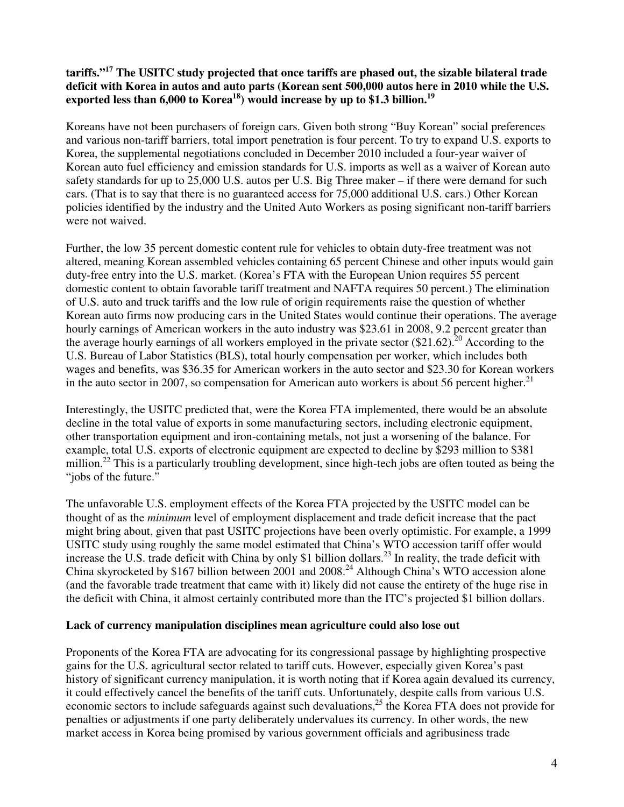# **tariffs."<sup>17</sup> The USITC study projected that once tariffs are phased out, the sizable bilateral trade deficit with Korea in autos and auto parts (Korean sent 500,000 autos here in 2010 while the U.S. exported less than 6,000 to Korea<sup>18</sup>) would increase by up to \$1.3 billion.<sup>19</sup>**

Koreans have not been purchasers of foreign cars. Given both strong "Buy Korean" social preferences and various non-tariff barriers, total import penetration is four percent. To try to expand U.S. exports to Korea, the supplemental negotiations concluded in December 2010 included a four-year waiver of Korean auto fuel efficiency and emission standards for U.S. imports as well as a waiver of Korean auto safety standards for up to 25,000 U.S. autos per U.S. Big Three maker – if there were demand for such cars. (That is to say that there is no guaranteed access for 75,000 additional U.S. cars.) Other Korean policies identified by the industry and the United Auto Workers as posing significant non-tariff barriers were not waived.

Further, the low 35 percent domestic content rule for vehicles to obtain duty-free treatment was not altered, meaning Korean assembled vehicles containing 65 percent Chinese and other inputs would gain duty-free entry into the U.S. market. (Korea's FTA with the European Union requires 55 percent domestic content to obtain favorable tariff treatment and NAFTA requires 50 percent.) The elimination of U.S. auto and truck tariffs and the low rule of origin requirements raise the question of whether Korean auto firms now producing cars in the United States would continue their operations. The average hourly earnings of American workers in the auto industry was \$23.61 in 2008, 9.2 percent greater than the average hourly earnings of all workers employed in the private sector  $(\$21.62)$ .<sup>20</sup> According to the U.S. Bureau of Labor Statistics (BLS), total hourly compensation per worker, which includes both wages and benefits, was \$36.35 for American workers in the auto sector and \$23.30 for Korean workers in the auto sector in 2007, so compensation for American auto workers is about 56 percent higher.<sup>21</sup>

Interestingly, the USITC predicted that, were the Korea FTA implemented, there would be an absolute decline in the total value of exports in some manufacturing sectors, including electronic equipment, other transportation equipment and iron-containing metals, not just a worsening of the balance. For example, total U.S. exports of electronic equipment are expected to decline by \$293 million to \$381 million.<sup>22</sup> This is a particularly troubling development, since high-tech jobs are often touted as being the "jobs of the future."

The unfavorable U.S. employment effects of the Korea FTA projected by the USITC model can be thought of as the *minimum* level of employment displacement and trade deficit increase that the pact might bring about, given that past USITC projections have been overly optimistic. For example, a 1999 USITC study using roughly the same model estimated that China's WTO accession tariff offer would increase the U.S. trade deficit with China by only \$1 billion dollars.<sup>23</sup> In reality, the trade deficit with China skyrocketed by \$167 billion between 2001 and 2008.<sup>24</sup> Although China's WTO accession alone (and the favorable trade treatment that came with it) likely did not cause the entirety of the huge rise in the deficit with China, it almost certainly contributed more than the ITC's projected \$1 billion dollars.

### **Lack of currency manipulation disciplines mean agriculture could also lose out**

Proponents of the Korea FTA are advocating for its congressional passage by highlighting prospective gains for the U.S. agricultural sector related to tariff cuts. However, especially given Korea's past history of significant currency manipulation, it is worth noting that if Korea again devalued its currency, it could effectively cancel the benefits of the tariff cuts. Unfortunately, despite calls from various U.S. economic sectors to include safeguards against such devaluations,<sup>25</sup> the Korea FTA does not provide for penalties or adjustments if one party deliberately undervalues its currency. In other words, the new market access in Korea being promised by various government officials and agribusiness trade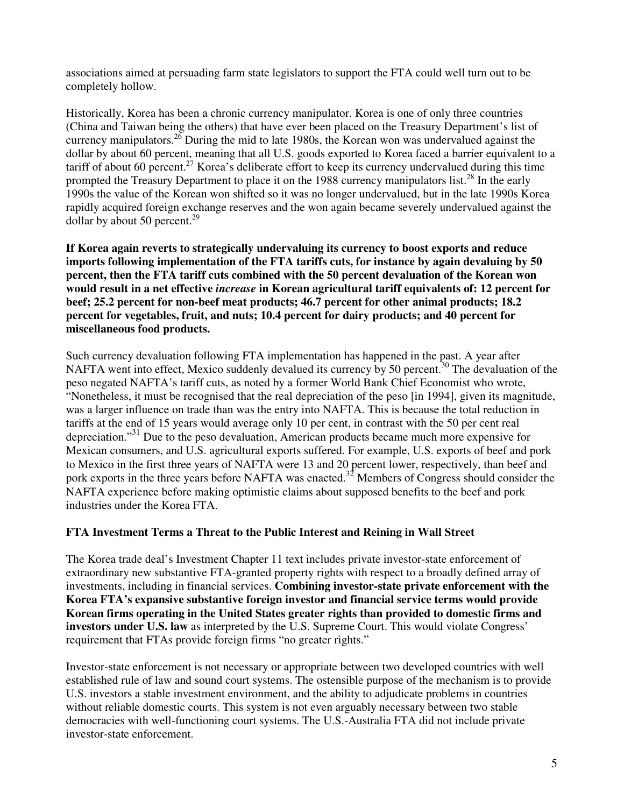associations aimed at persuading farm state legislators to support the FTA could well turn out to be completely hollow.

Historically, Korea has been a chronic currency manipulator. Korea is one of only three countries (China and Taiwan being the others) that have ever been placed on the Treasury Department's list of currency manipulators.<sup>26</sup> During the mid to late 1980s, the Korean won was undervalued against the dollar by about 60 percent, meaning that all U.S. goods exported to Korea faced a barrier equivalent to a tariff of about 60 percent.<sup>27</sup> Korea's deliberate effort to keep its currency undervalued during this time prompted the Treasury Department to place it on the 1988 currency manipulators list.<sup>28</sup> In the early 1990s the value of the Korean won shifted so it was no longer undervalued, but in the late 1990s Korea rapidly acquired foreign exchange reserves and the won again became severely undervalued against the dollar by about 50 percent. $^{29}$ 

**If Korea again reverts to strategically undervaluing its currency to boost exports and reduce imports following implementation of the FTA tariffs cuts, for instance by again devaluing by 50 percent, then the FTA tariff cuts combined with the 50 percent devaluation of the Korean won would result in a net effective** *increase* **in Korean agricultural tariff equivalents of: 12 percent for beef; 25.2 percent for non-beef meat products; 46.7 percent for other animal products; 18.2 percent for vegetables, fruit, and nuts; 10.4 percent for dairy products; and 40 percent for miscellaneous food products.** 

Such currency devaluation following FTA implementation has happened in the past. A year after NAFTA went into effect, Mexico suddenly devalued its currency by 50 percent.<sup>30</sup> The devaluation of the peso negated NAFTA's tariff cuts, as noted by a former World Bank Chief Economist who wrote, "Nonetheless, it must be recognised that the real depreciation of the peso [in 1994], given its magnitude, was a larger influence on trade than was the entry into NAFTA. This is because the total reduction in tariffs at the end of 15 years would average only 10 per cent, in contrast with the 50 per cent real depreciation."<sup>31</sup> Due to the peso devaluation, American products became much more expensive for Mexican consumers, and U.S. agricultural exports suffered. For example, U.S. exports of beef and pork to Mexico in the first three years of NAFTA were 13 and 20 percent lower, respectively, than beef and pork exports in the three years before NAFTA was enacted.<sup>32</sup> Members of Congress should consider the NAFTA experience before making optimistic claims about supposed benefits to the beef and pork industries under the Korea FTA.

### **FTA Investment Terms a Threat to the Public Interest and Reining in Wall Street**

The Korea trade deal's Investment Chapter 11 text includes private investor-state enforcement of extraordinary new substantive FTA-granted property rights with respect to a broadly defined array of investments, including in financial services. **Combining investor-state private enforcement with the Korea FTA's expansive substantive foreign investor and financial service terms would provide Korean firms operating in the United States greater rights than provided to domestic firms and investors under U.S. law** as interpreted by the U.S. Supreme Court. This would violate Congress' requirement that FTAs provide foreign firms "no greater rights."

Investor-state enforcement is not necessary or appropriate between two developed countries with well established rule of law and sound court systems. The ostensible purpose of the mechanism is to provide U.S. investors a stable investment environment, and the ability to adjudicate problems in countries without reliable domestic courts. This system is not even arguably necessary between two stable democracies with well-functioning court systems. The U.S.-Australia FTA did not include private investor-state enforcement.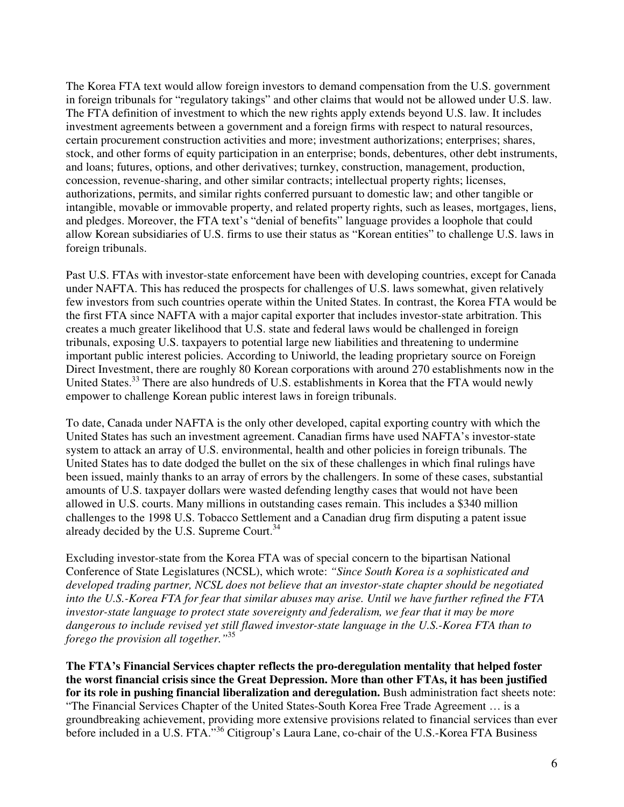The Korea FTA text would allow foreign investors to demand compensation from the U.S. government in foreign tribunals for "regulatory takings" and other claims that would not be allowed under U.S. law. The FTA definition of investment to which the new rights apply extends beyond U.S. law. It includes investment agreements between a government and a foreign firms with respect to natural resources, certain procurement construction activities and more; investment authorizations; enterprises; shares, stock, and other forms of equity participation in an enterprise; bonds, debentures, other debt instruments, and loans; futures, options, and other derivatives; turnkey, construction, management, production, concession, revenue-sharing, and other similar contracts; intellectual property rights; licenses, authorizations, permits, and similar rights conferred pursuant to domestic law; and other tangible or intangible, movable or immovable property, and related property rights, such as leases, mortgages, liens, and pledges. Moreover, the FTA text's "denial of benefits" language provides a loophole that could allow Korean subsidiaries of U.S. firms to use their status as "Korean entities" to challenge U.S. laws in foreign tribunals.

Past U.S. FTAs with investor-state enforcement have been with developing countries, except for Canada under NAFTA. This has reduced the prospects for challenges of U.S. laws somewhat, given relatively few investors from such countries operate within the United States. In contrast, the Korea FTA would be the first FTA since NAFTA with a major capital exporter that includes investor-state arbitration. This creates a much greater likelihood that U.S. state and federal laws would be challenged in foreign tribunals, exposing U.S. taxpayers to potential large new liabilities and threatening to undermine important public interest policies. According to Uniworld, the leading proprietary source on Foreign Direct Investment, there are roughly 80 Korean corporations with around 270 establishments now in the United States.<sup>33</sup> There are also hundreds of U.S. establishments in Korea that the FTA would newly empower to challenge Korean public interest laws in foreign tribunals.

To date, Canada under NAFTA is the only other developed, capital exporting country with which the United States has such an investment agreement. Canadian firms have used NAFTA's investor-state system to attack an array of U.S. environmental, health and other policies in foreign tribunals. The United States has to date dodged the bullet on the six of these challenges in which final rulings have been issued, mainly thanks to an array of errors by the challengers. In some of these cases, substantial amounts of U.S. taxpayer dollars were wasted defending lengthy cases that would not have been allowed in U.S. courts. Many millions in outstanding cases remain. This includes a \$340 million challenges to the 1998 U.S. Tobacco Settlement and a Canadian drug firm disputing a patent issue already decided by the U.S. Supreme Court.<sup>34</sup>

Excluding investor-state from the Korea FTA was of special concern to the bipartisan National Conference of State Legislatures (NCSL), which wrote: *"Since South Korea is a sophisticated and developed trading partner, NCSL does not believe that an investor-state chapter should be negotiated into the U.S.-Korea FTA for fear that similar abuses may arise. Until we have further refined the FTA investor-state language to protect state sovereignty and federalism, we fear that it may be more dangerous to include revised yet still flawed investor-state language in the U.S.-Korea FTA than to forego the provision all together."*<sup>35</sup>

**The FTA's Financial Services chapter reflects the pro-deregulation mentality that helped foster the worst financial crisis since the Great Depression. More than other FTAs, it has been justified for its role in pushing financial liberalization and deregulation.** Bush administration fact sheets note: "The Financial Services Chapter of the United States-South Korea Free Trade Agreement … is a groundbreaking achievement, providing more extensive provisions related to financial services than ever before included in a U.S. FTA."<sup>36</sup> Citigroup's Laura Lane, co-chair of the U.S.-Korea FTA Business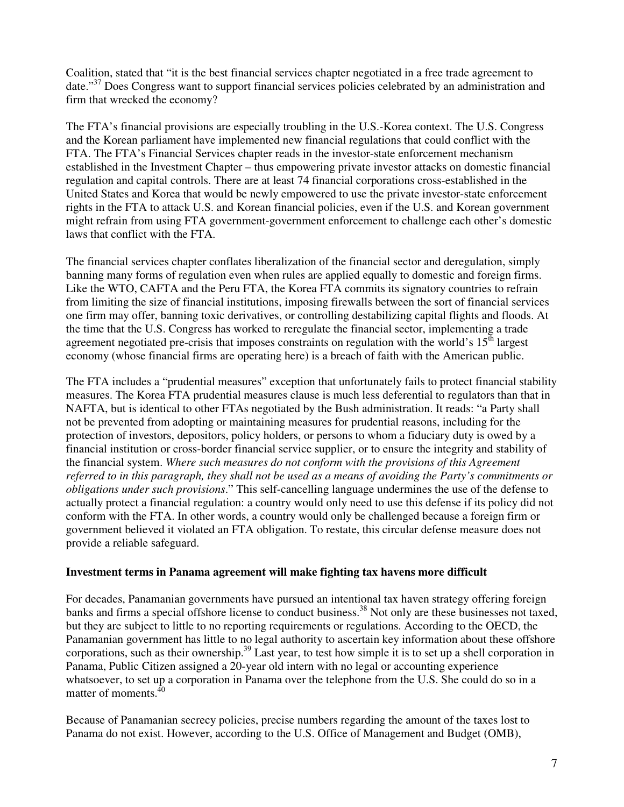Coalition, stated that "it is the best financial services chapter negotiated in a free trade agreement to date."<sup>37</sup> Does Congress want to support financial services policies celebrated by an administration and firm that wrecked the economy?

The FTA's financial provisions are especially troubling in the U.S.-Korea context. The U.S. Congress and the Korean parliament have implemented new financial regulations that could conflict with the FTA. The FTA's Financial Services chapter reads in the investor-state enforcement mechanism established in the Investment Chapter – thus empowering private investor attacks on domestic financial regulation and capital controls. There are at least 74 financial corporations cross-established in the United States and Korea that would be newly empowered to use the private investor-state enforcement rights in the FTA to attack U.S. and Korean financial policies, even if the U.S. and Korean government might refrain from using FTA government-government enforcement to challenge each other's domestic laws that conflict with the FTA.

The financial services chapter conflates liberalization of the financial sector and deregulation, simply banning many forms of regulation even when rules are applied equally to domestic and foreign firms. Like the WTO, CAFTA and the Peru FTA, the Korea FTA commits its signatory countries to refrain from limiting the size of financial institutions, imposing firewalls between the sort of financial services one firm may offer, banning toxic derivatives, or controlling destabilizing capital flights and floods. At the time that the U.S. Congress has worked to reregulate the financial sector, implementing a trade agreement negotiated pre-crisis that imposes constraints on regulation with the world's  $15<sup>th</sup>$  largest economy (whose financial firms are operating here) is a breach of faith with the American public.

The FTA includes a "prudential measures" exception that unfortunately fails to protect financial stability measures. The Korea FTA prudential measures clause is much less deferential to regulators than that in NAFTA, but is identical to other FTAs negotiated by the Bush administration. It reads: "a Party shall not be prevented from adopting or maintaining measures for prudential reasons, including for the protection of investors, depositors, policy holders, or persons to whom a fiduciary duty is owed by a financial institution or cross-border financial service supplier, or to ensure the integrity and stability of the financial system. *Where such measures do not conform with the provisions of this Agreement referred to in this paragraph, they shall not be used as a means of avoiding the Party's commitments or obligations under such provisions*." This self-cancelling language undermines the use of the defense to actually protect a financial regulation: a country would only need to use this defense if its policy did not conform with the FTA. In other words, a country would only be challenged because a foreign firm or government believed it violated an FTA obligation. To restate, this circular defense measure does not provide a reliable safeguard.

### **Investment terms in Panama agreement will make fighting tax havens more difficult**

For decades, Panamanian governments have pursued an intentional tax haven strategy offering foreign banks and firms a special offshore license to conduct business.<sup>38</sup> Not only are these businesses not taxed, but they are subject to little to no reporting requirements or regulations. According to the OECD, the Panamanian government has little to no legal authority to ascertain key information about these offshore corporations, such as their ownership.<sup>39</sup> Last year, to test how simple it is to set up a shell corporation in Panama, Public Citizen assigned a 20-year old intern with no legal or accounting experience whatsoever, to set up a corporation in Panama over the telephone from the U.S. She could do so in a matter of moments. $40$ 

Because of Panamanian secrecy policies, precise numbers regarding the amount of the taxes lost to Panama do not exist. However, according to the U.S. Office of Management and Budget (OMB),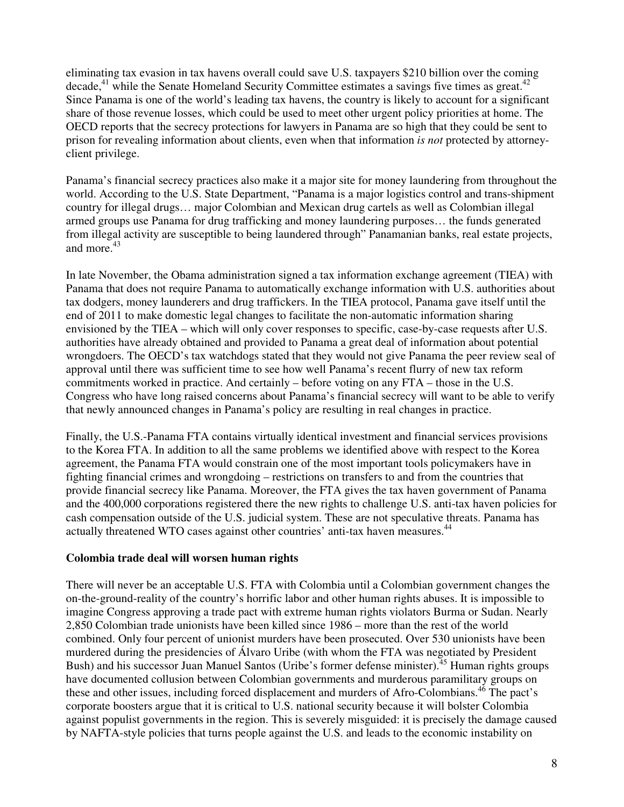eliminating tax evasion in tax havens overall could save U.S. taxpayers \$210 billion over the coming decade,<sup>41</sup> while the Senate Homeland Security Committee estimates a savings five times as great.<sup>42</sup> Since Panama is one of the world's leading tax havens, the country is likely to account for a significant share of those revenue losses, which could be used to meet other urgent policy priorities at home. The OECD reports that the secrecy protections for lawyers in Panama are so high that they could be sent to prison for revealing information about clients, even when that information *is not* protected by attorneyclient privilege.

Panama's financial secrecy practices also make it a major site for money laundering from throughout the world. According to the U.S. State Department, "Panama is a major logistics control and trans-shipment country for illegal drugs… major Colombian and Mexican drug cartels as well as Colombian illegal armed groups use Panama for drug trafficking and money laundering purposes… the funds generated from illegal activity are susceptible to being laundered through" Panamanian banks, real estate projects, and more. $43$ 

In late November, the Obama administration signed a tax information exchange agreement (TIEA) with Panama that does not require Panama to automatically exchange information with U.S. authorities about tax dodgers, money launderers and drug traffickers. In the TIEA protocol, Panama gave itself until the end of 2011 to make domestic legal changes to facilitate the non-automatic information sharing envisioned by the TIEA – which will only cover responses to specific, case-by-case requests after U.S. authorities have already obtained and provided to Panama a great deal of information about potential wrongdoers. The OECD's tax watchdogs stated that they would not give Panama the peer review seal of approval until there was sufficient time to see how well Panama's recent flurry of new tax reform commitments worked in practice. And certainly – before voting on any FTA – those in the U.S. Congress who have long raised concerns about Panama's financial secrecy will want to be able to verify that newly announced changes in Panama's policy are resulting in real changes in practice.

Finally, the U.S.-Panama FTA contains virtually identical investment and financial services provisions to the Korea FTA. In addition to all the same problems we identified above with respect to the Korea agreement, the Panama FTA would constrain one of the most important tools policymakers have in fighting financial crimes and wrongdoing – restrictions on transfers to and from the countries that provide financial secrecy like Panama. Moreover, the FTA gives the tax haven government of Panama and the 400,000 corporations registered there the new rights to challenge U.S. anti-tax haven policies for cash compensation outside of the U.S. judicial system. These are not speculative threats. Panama has actually threatened WTO cases against other countries' anti-tax haven measures.<sup>44</sup>

### **Colombia trade deal will worsen human rights**

There will never be an acceptable U.S. FTA with Colombia until a Colombian government changes the on-the-ground-reality of the country's horrific labor and other human rights abuses. It is impossible to imagine Congress approving a trade pact with extreme human rights violators Burma or Sudan. Nearly 2,850 Colombian trade unionists have been killed since 1986 – more than the rest of the world combined. Only four percent of unionist murders have been prosecuted. Over 530 unionists have been murdered during the presidencies of Álvaro Uribe (with whom the FTA was negotiated by President Bush) and his successor Juan Manuel Santos (Uribe's former defense minister).<sup>45</sup> Human rights groups have documented collusion between Colombian governments and murderous paramilitary groups on these and other issues, including forced displacement and murders of Afro-Colombians.<sup>46</sup> The pact's corporate boosters argue that it is critical to U.S. national security because it will bolster Colombia against populist governments in the region. This is severely misguided: it is precisely the damage caused by NAFTA-style policies that turns people against the U.S. and leads to the economic instability on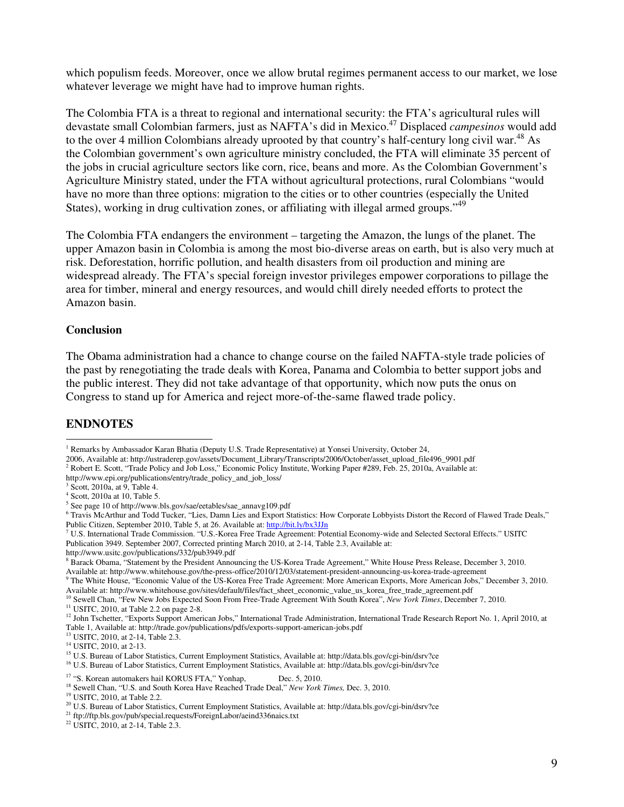which populism feeds. Moreover, once we allow brutal regimes permanent access to our market, we lose whatever leverage we might have had to improve human rights.

The Colombia FTA is a threat to regional and international security: the FTA's agricultural rules will devastate small Colombian farmers, just as NAFTA's did in Mexico.<sup>47</sup> Displaced *campesinos* would add to the over 4 million Colombians already uprooted by that country's half-century long civil war.<sup>48</sup> As the Colombian government's own agriculture ministry concluded, the FTA will eliminate 35 percent of the jobs in crucial agriculture sectors like corn, rice, beans and more. As the Colombian Government's Agriculture Ministry stated, under the FTA without agricultural protections, rural Colombians "would have no more than three options: migration to the cities or to other countries (especially the United States), working in drug cultivation zones, or affiliating with illegal armed groups."<sup>49</sup>

The Colombia FTA endangers the environment – targeting the Amazon, the lungs of the planet. The upper Amazon basin in Colombia is among the most bio-diverse areas on earth, but is also very much at risk. Deforestation, horrific pollution, and health disasters from oil production and mining are widespread already. The FTA's special foreign investor privileges empower corporations to pillage the area for timber, mineral and energy resources, and would chill direly needed efforts to protect the Amazon basin.

#### **Conclusion**

The Obama administration had a chance to change course on the failed NAFTA-style trade policies of the past by renegotiating the trade deals with Korea, Panama and Colombia to better support jobs and the public interest. They did not take advantage of that opportunity, which now puts the onus on Congress to stand up for America and reject more-of-the-same flawed trade policy.

### **ENDNOTES**

 $\overline{a}$ 

2006, Available at: http://ustraderep.gov/assets/Document\_Library/Transcripts/2006/October/asset\_upload\_file496\_9901.pdf

2 Robert E. Scott, "Trade Policy and Job Loss," Economic Policy Institute, Working Paper #289, Feb. 25, 2010a, Available at: http://www.epi.org/publications/entry/trade\_policy\_and\_job\_loss/

3 Scott, 2010a, at 9, Table 4.

7 U.S. International Trade Commission. "U.S.-Korea Free Trade Agreement: Potential Economy-wide and Selected Sectoral Effects." USITC Publication 3949. September 2007, Corrected printing March 2010, at 2-14, Table 2.3, Available at:

 $11$  USITC, 2010, at Table 2.2 on page 2-8.

<sup>12</sup> John Tschetter, "Exports Support American Jobs," International Trade Administration, International Trade Research Report No. 1, April 2010, at Table 1, Available at: http://trade.gov/publications/pdfs/exports-support-american-jobs.pdf

<sup>&</sup>lt;sup>1</sup> Remarks by Ambassador Karan Bhatia (Deputy U.S. Trade Representative) at Yonsei University, October 24,

<sup>4</sup> Scott, 2010a at 10, Table 5.

<sup>5</sup> See page 10 of http://www.bls.gov/sae/eetables/sae\_annavg109.pdf

<sup>6</sup> Travis McArthur and Todd Tucker, "Lies, Damn Lies and Export Statistics: How Corporate Lobbyists Distort the Record of Flawed Trade Deals," Public Citizen, September 2010, Table 5, at 26. Available at: http://bit.ly/bx3JJn

http://www.usitc.gov/publications/332/pub3949.pdf

<sup>&</sup>lt;sup>8</sup> Barack Obama, "Statement by the President Announcing the US-Korea Trade Agreement," White House Press Release, December 3, 2010. Available at: http://www.whitehouse.gov/the-press-office/2010/12/03/statement-president-announcing-us-korea-trade-agreement  $\frac{9}{2}$ The White House "Economic Velue of the US Korea-Trade Agreement More American Fanction Jo

The White House, "Economic Value of the US-Korea Free Trade Agreement: More American Exports, More American Jobs," December 3, 2010. Available at: http://www.whitehouse.gov/sites/default/files/fact\_sheet\_economic\_value\_us\_korea\_free\_trade\_agreement.pdf

<sup>&</sup>lt;sup>10</sup> Sewell Chan, "Few New Jobs Expected Soon From Free-Trade Agreement With South Korea", *New York Times*, December 7, 2010.

<sup>&</sup>lt;sup>13</sup> USITC, 2010, at 2-14, Table 2.3.

<sup>14</sup> USITC, 2010, at 2-13.

<sup>15</sup> U.S. Bureau of Labor Statistics, Current Employment Statistics, Available at: http://data.bls.gov/cgi-bin/dsrv?ce

<sup>16</sup> U.S. Bureau of Labor Statistics, Current Employment Statistics, Available at: http://data.bls.gov/cgi-bin/dsrv?ce

<sup>&</sup>lt;sup>17</sup> "S. Korean automakers hail KORUS FTA," Yonhap, Dec. 5, 2010.

<sup>18</sup> Sewell Chan, "U.S. and South Korea Have Reached Trade Deal," *New York Times,* Dec. 3, 2010.

<sup>19</sup> USITC, 2010, at Table 2.2.

<sup>20</sup> U.S. Bureau of Labor Statistics, Current Employment Statistics, Available at: http://data.bls.gov/cgi-bin/dsrv?ce

<sup>21</sup> ftp://ftp.bls.gov/pub/special.requests/ForeignLabor/aeind336naics.txt

<sup>&</sup>lt;sup>22</sup> USITC, 2010, at 2-14, Table 2.3.